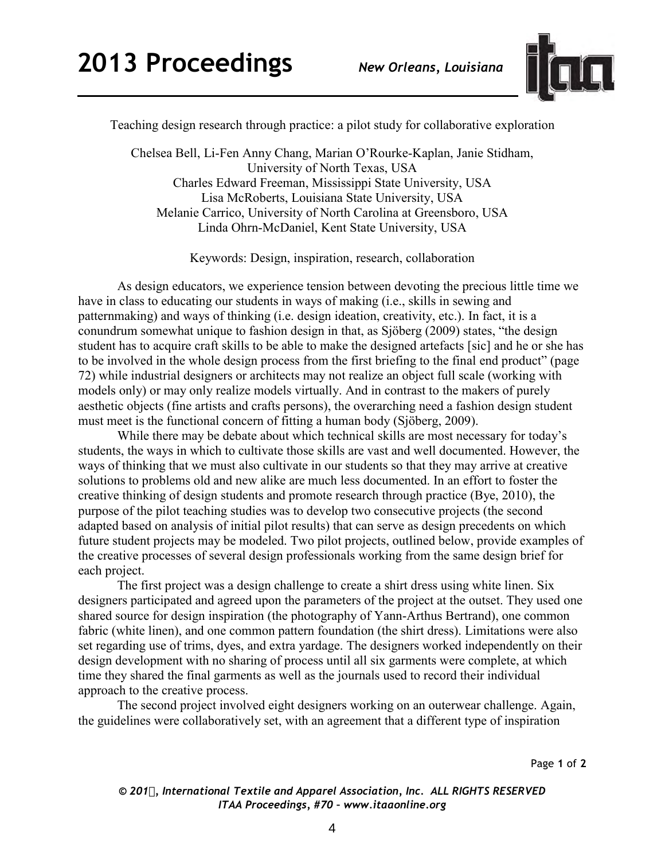

Teaching design research through practice: a pilot study for collaborative exploration

Chelsea Bell, Li-Fen Anny Chang, Marian O'Rourke-Kaplan, Janie Stidham, University of North Texas, USA Charles Edward Freeman, Mississippi State University, USA Lisa McRoberts, Louisiana State University, USA Melanie Carrico, University of North Carolina at Greensboro, USA Linda Ohrn-McDaniel, Kent State University, USA

Keywords: Design, inspiration, research, collaboration

As design educators, we experience tension between devoting the precious little time we have in class to educating our students in ways of making (i.e., skills in sewing and patternmaking) and ways of thinking (i.e. design ideation, creativity, etc.). In fact, it is a conundrum somewhat unique to fashion design in that, as Sjöberg (2009) states, "the design student has to acquire craft skills to be able to make the designed artefacts [sic] and he or she has to be involved in the whole design process from the first briefing to the final end product" (page 72) while industrial designers or architects may not realize an object full scale (working with models only) or may only realize models virtually. And in contrast to the makers of purely aesthetic objects (fine artists and crafts persons), the overarching need a fashion design student must meet is the functional concern of fitting a human body (Sjöberg, 2009).

While there may be debate about which technical skills are most necessary for today's students, the ways in which to cultivate those skills are vast and well documented. However, the ways of thinking that we must also cultivate in our students so that they may arrive at creative solutions to problems old and new alike are much less documented. In an effort to foster the creative thinking of design students and promote research through practice (Bye, 2010), the purpose of the pilot teaching studies was to develop two consecutive projects (the second adapted based on analysis of initial pilot results) that can serve as design precedents on which future student projects may be modeled. Two pilot projects, outlined below, provide examples of the creative processes of several design professionals working from the same design brief for each project.

The first project was a design challenge to create a shirt dress using white linen. Six designers participated and agreed upon the parameters of the project at the outset. They used one shared source for design inspiration (the photography of Yann-Arthus Bertrand), one common fabric (white linen), and one common pattern foundation (the shirt dress). Limitations were also set regarding use of trims, dyes, and extra yardage. The designers worked independently on their design development with no sharing of process until all six garments were complete, at which time they shared the final garments as well as the journals used to record their individual approach to the creative process.

The second project involved eight designers working on an outerwear challenge. Again, the guidelines were collaboratively set, with an agreement that a different type of inspiration

*© 201, International Textile and Apparel Association, Inc. ALL RIGHTS RESERVED ITAA Proceedings, #70 – www.itaaonline.org*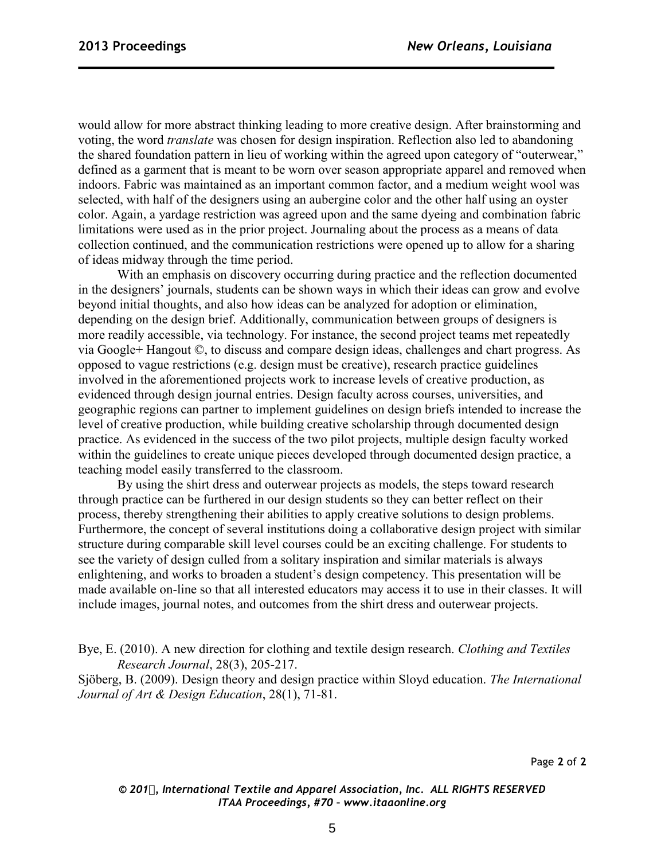would allow for more abstract thinking leading to more creative design. After brainstorming and voting, the word *translate* was chosen for design inspiration. Reflection also led to abandoning the shared foundation pattern in lieu of working within the agreed upon category of "outerwear," defined as a garment that is meant to be worn over season appropriate apparel and removed when indoors. Fabric was maintained as an important common factor, and a medium weight wool was selected, with half of the designers using an aubergine color and the other half using an oyster color. Again, a yardage restriction was agreed upon and the same dyeing and combination fabric limitations were used as in the prior project. Journaling about the process as a means of data collection continued, and the communication restrictions were opened up to allow for a sharing of ideas midway through the time period.

With an emphasis on discovery occurring during practice and the reflection documented in the designers' journals, students can be shown ways in which their ideas can grow and evolve beyond initial thoughts, and also how ideas can be analyzed for adoption or elimination, depending on the design brief. Additionally, communication between groups of designers is more readily accessible, via technology. For instance, the second project teams met repeatedly via Google+ Hangout ©, to discuss and compare design ideas, challenges and chart progress. As opposed to vague restrictions (e.g. design must be creative), research practice guidelines involved in the aforementioned projects work to increase levels of creative production, as evidenced through design journal entries. Design faculty across courses, universities, and geographic regions can partner to implement guidelines on design briefs intended to increase the level of creative production, while building creative scholarship through documented design practice. As evidenced in the success of the two pilot projects, multiple design faculty worked within the guidelines to create unique pieces developed through documented design practice, a teaching model easily transferred to the classroom.

By using the shirt dress and outerwear projects as models, the steps toward research through practice can be furthered in our design students so they can better reflect on their process, thereby strengthening their abilities to apply creative solutions to design problems. Furthermore, the concept of several institutions doing a collaborative design project with similar structure during comparable skill level courses could be an exciting challenge. For students to see the variety of design culled from a solitary inspiration and similar materials is always enlightening, and works to broaden a student's design competency. This presentation will be made available on-line so that all interested educators may access it to use in their classes. It will include images, journal notes, and outcomes from the shirt dress and outerwear projects.

Bye, E. (2010). A new direction for clothing and textile design research. *Clothing and Textiles Research Journal*, 28(3), 205-217.

Sjöberg, B. (2009). Design theory and design practice within Sloyd education. *The International Journal of Art & Design Education*, 28(1), 71-81.

*© 201, International Textile and Apparel Association, Inc. ALL RIGHTS RESERVED ITAA Proceedings, #70 – www.itaaonline.org*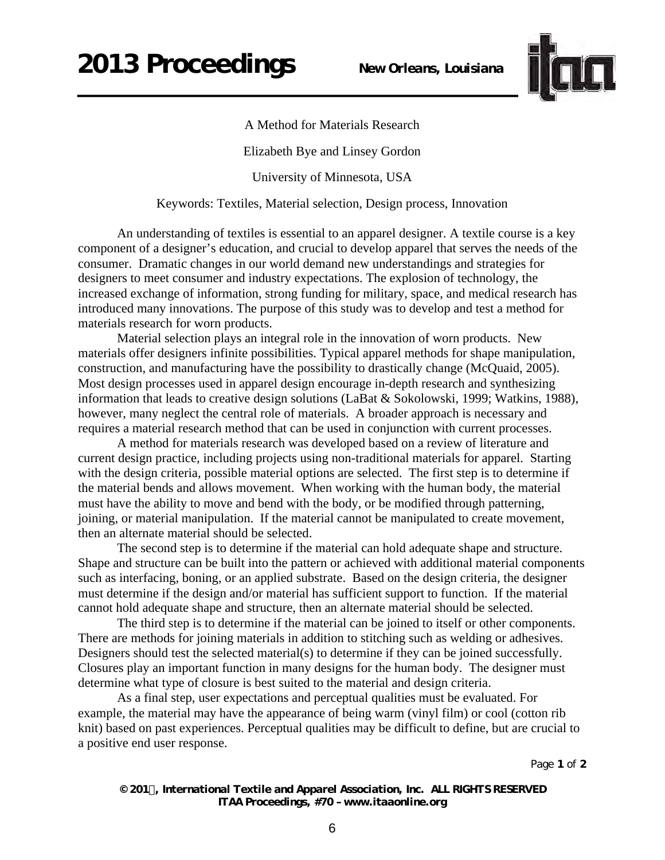## **2013 Proceedings** *New Orleans, Louisiana*



A Method for Materials Research

Elizabeth Bye and Linsey Gordon

University of Minnesota, USA

Keywords: Textiles, Material selection, Design process, Innovation

An understanding of textiles is essential to an apparel designer. A textile course is a key component of a designer's education, and crucial to develop apparel that serves the needs of the consumer. Dramatic changes in our world demand new understandings and strategies for designers to meet consumer and industry expectations. The explosion of technology, the increased exchange of information, strong funding for military, space, and medical research has introduced many innovations. The purpose of this study was to develop and test a method for materials research for worn products.

Material selection plays an integral role in the innovation of worn products. New materials offer designers infinite possibilities. Typical apparel methods for shape manipulation, construction, and manufacturing have the possibility to drastically change (McQuaid, 2005). Most design processes used in apparel design encourage in-depth research and synthesizing information that leads to creative design solutions (LaBat & Sokolowski, 1999; Watkins, 1988), however, many neglect the central role of materials. A broader approach is necessary and requires a material research method that can be used in conjunction with current processes.

A method for materials research was developed based on a review of literature and current design practice, including projects using non-traditional materials for apparel. Starting with the design criteria, possible material options are selected. The first step is to determine if the material bends and allows movement. When working with the human body, the material must have the ability to move and bend with the body, or be modified through patterning, joining, or material manipulation. If the material cannot be manipulated to create movement, then an alternate material should be selected.

The second step is to determine if the material can hold adequate shape and structure. Shape and structure can be built into the pattern or achieved with additional material components such as interfacing, boning, or an applied substrate. Based on the design criteria, the designer must determine if the design and/or material has sufficient support to function. If the material cannot hold adequate shape and structure, then an alternate material should be selected.

The third step is to determine if the material can be joined to itself or other components. There are methods for joining materials in addition to stitching such as welding or adhesives. Designers should test the selected material(s) to determine if they can be joined successfully. Closures play an important function in many designs for the human body. The designer must determine what type of closure is best suited to the material and design criteria.

As a final step, user expectations and perceptual qualities must be evaluated. For example, the material may have the appearance of being warm (vinyl film) or cool (cotton rib knit) based on past experiences. Perceptual qualities may be difficult to define, but are crucial to a positive end user response.

Page **1** of **2** 

*© 201, International Textile and Apparel Association, Inc. ALL RIGHTS RESERVED ITAA Proceedings, #70 – www.itaaonline.org*